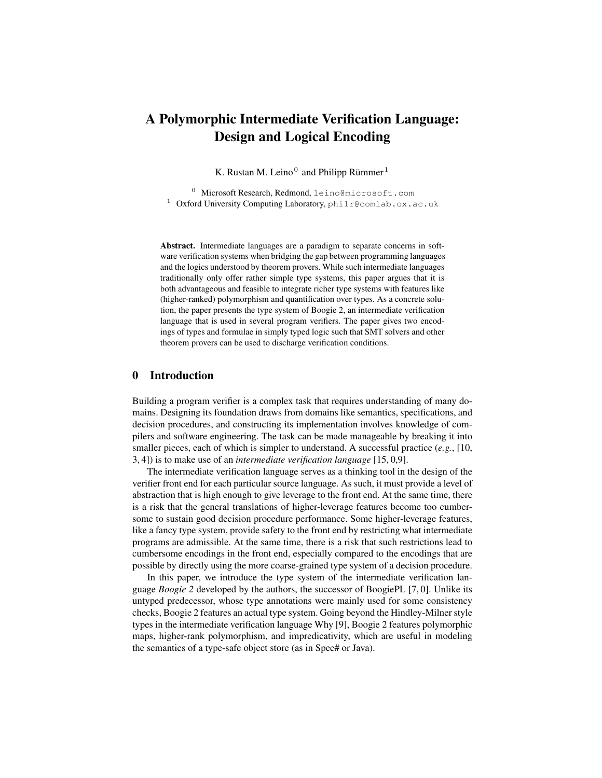# A Polymorphic Intermediate Verification Language: Design and Logical Encoding

K. Rustan M. Leino<sup>0</sup> and Philipp Rümmer<sup>1</sup>

<sup>0</sup> Microsoft Research, Redmond, leino@microsoft.com <sup>1</sup> Oxford University Computing Laboratory, philr@comlab.ox.ac.uk

Abstract. Intermediate languages are a paradigm to separate concerns in software verification systems when bridging the gap between programming languages and the logics understood by theorem provers. While such intermediate languages traditionally only offer rather simple type systems, this paper argues that it is both advantageous and feasible to integrate richer type systems with features like (higher-ranked) polymorphism and quantification over types. As a concrete solution, the paper presents the type system of Boogie 2, an intermediate verification language that is used in several program verifiers. The paper gives two encodings of types and formulae in simply typed logic such that SMT solvers and other theorem provers can be used to discharge verification conditions.

## 0 Introduction

Building a program verifier is a complex task that requires understanding of many domains. Designing its foundation draws from domains like semantics, specifications, and decision procedures, and constructing its implementation involves knowledge of compilers and software engineering. The task can be made manageable by breaking it into smaller pieces, each of which is simpler to understand. A successful practice (*e.g.*, [10, 3, 4]) is to make use of an *intermediate verification language* [15, 0,9].

The intermediate verification language serves as a thinking tool in the design of the verifier front end for each particular source language. As such, it must provide a level of abstraction that is high enough to give leverage to the front end. At the same time, there is a risk that the general translations of higher-leverage features become too cumbersome to sustain good decision procedure performance. Some higher-leverage features, like a fancy type system, provide safety to the front end by restricting what intermediate programs are admissible. At the same time, there is a risk that such restrictions lead to cumbersome encodings in the front end, especially compared to the encodings that are possible by directly using the more coarse-grained type system of a decision procedure.

In this paper, we introduce the type system of the intermediate verification language *Boogie 2* developed by the authors, the successor of BoogiePL [7, 0]. Unlike its untyped predecessor, whose type annotations were mainly used for some consistency checks, Boogie 2 features an actual type system. Going beyond the Hindley-Milner style types in the intermediate verification language Why [9], Boogie 2 features polymorphic maps, higher-rank polymorphism, and impredicativity, which are useful in modeling the semantics of a type-safe object store (as in Spec# or Java).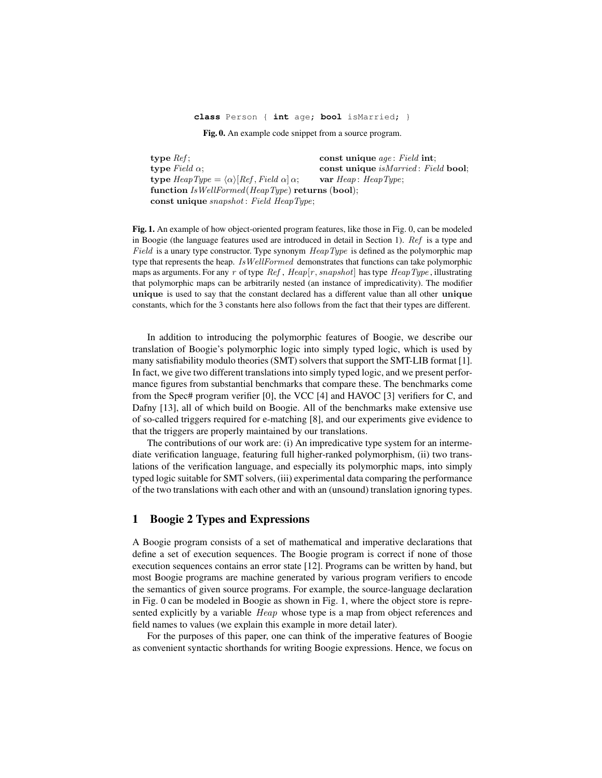**class** Person { **int** age; **bool** isMarried; }

Fig. 0. An example code snippet from a source program.

type  $Ref$ ; type Field  $\alpha$ ; type  $HeapType = \langle \alpha \rangle[Ref, Field \alpha] \alpha;$ const unique age: Field int; const unique is Married : Field bool; var Heap: HeapType; function  $Is WellFormed(HeapType)$  returns (bool); const unique snapshot : Field HeapType;

Fig. 1. An example of how object-oriented program features, like those in Fig. 0, can be modeled in Boogie (the language features used are introduced in detail in Section 1).  $Ref$  is a type and Field is a unary type constructor. Type synonym  $HeapType$  is defined as the polymorphic map type that represents the heap. Is WellFormed demonstrates that functions can take polymorphic maps as arguments. For any r of type Ref,  $Heap[r, snapshot]$  has type  $HeapType$ , illustrating that polymorphic maps can be arbitrarily nested (an instance of impredicativity). The modifier unique is used to say that the constant declared has a different value than all other unique constants, which for the 3 constants here also follows from the fact that their types are different.

In addition to introducing the polymorphic features of Boogie, we describe our translation of Boogie's polymorphic logic into simply typed logic, which is used by many satisfiability modulo theories (SMT) solvers that support the SMT-LIB format [1]. In fact, we give two different translations into simply typed logic, and we present performance figures from substantial benchmarks that compare these. The benchmarks come from the Spec# program verifier [0], the VCC [4] and HAVOC [3] verifiers for C, and Dafny [13], all of which build on Boogie. All of the benchmarks make extensive use of so-called triggers required for e-matching [8], and our experiments give evidence to that the triggers are properly maintained by our translations.

The contributions of our work are: (i) An impredicative type system for an intermediate verification language, featuring full higher-ranked polymorphism, (ii) two translations of the verification language, and especially its polymorphic maps, into simply typed logic suitable for SMT solvers, (iii) experimental data comparing the performance of the two translations with each other and with an (unsound) translation ignoring types.

## 1 Boogie 2 Types and Expressions

A Boogie program consists of a set of mathematical and imperative declarations that define a set of execution sequences. The Boogie program is correct if none of those execution sequences contains an error state [12]. Programs can be written by hand, but most Boogie programs are machine generated by various program verifiers to encode the semantics of given source programs. For example, the source-language declaration in Fig. 0 can be modeled in Boogie as shown in Fig. 1, where the object store is represented explicitly by a variable Heap whose type is a map from object references and field names to values (we explain this example in more detail later).

For the purposes of this paper, one can think of the imperative features of Boogie as convenient syntactic shorthands for writing Boogie expressions. Hence, we focus on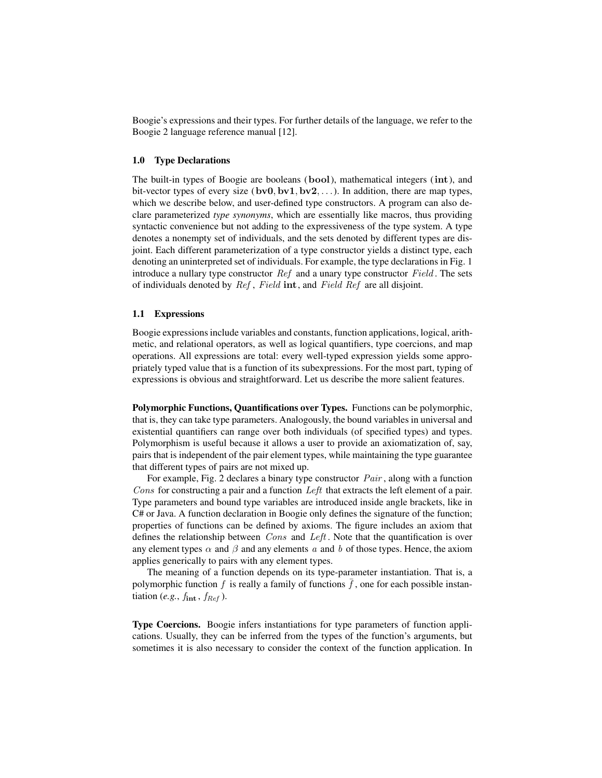Boogie's expressions and their types. For further details of the language, we refer to the Boogie 2 language reference manual [12].

## 1.0 Type Declarations

The built-in types of Boogie are booleans (bool), mathematical integers (int), and bit-vector types of every size (bv0, bv1, bv2, ...). In addition, there are map types, which we describe below, and user-defined type constructors. A program can also declare parameterized *type synonyms*, which are essentially like macros, thus providing syntactic convenience but not adding to the expressiveness of the type system. A type denotes a nonempty set of individuals, and the sets denoted by different types are disjoint. Each different parameterization of a type constructor yields a distinct type, each denoting an uninterpreted set of individuals. For example, the type declarations in Fig. 1 introduce a nullary type constructor Ref and a unary type constructor Field. The sets of individuals denoted by Ref , Field int, and Field Ref are all disjoint.

## 1.1 Expressions

Boogie expressions include variables and constants, function applications, logical, arithmetic, and relational operators, as well as logical quantifiers, type coercions, and map operations. All expressions are total: every well-typed expression yields some appropriately typed value that is a function of its subexpressions. For the most part, typing of expressions is obvious and straightforward. Let us describe the more salient features.

Polymorphic Functions, Quantifications over Types. Functions can be polymorphic, that is, they can take type parameters. Analogously, the bound variables in universal and existential quantifiers can range over both individuals (of specified types) and types. Polymorphism is useful because it allows a user to provide an axiomatization of, say, pairs that is independent of the pair element types, while maintaining the type guarantee that different types of pairs are not mixed up.

For example, Fig. 2 declares a binary type constructor Pair , along with a function Cons for constructing a pair and a function Left that extracts the left element of a pair. Type parameters and bound type variables are introduced inside angle brackets, like in C# or Java. A function declaration in Boogie only defines the signature of the function; properties of functions can be defined by axioms. The figure includes an axiom that defines the relationship between Cons and Left . Note that the quantification is over any element types  $\alpha$  and  $\beta$  and any elements a and b of those types. Hence, the axiom applies generically to pairs with any element types.

The meaning of a function depends on its type-parameter instantiation. That is, a polymorphic function f is really a family of functions  $\bar{f}$ , one for each possible instantiation (*e.g.*,  $f_{\text{int}}$ ,  $f_{Ref}$ ).

Type Coercions. Boogie infers instantiations for type parameters of function applications. Usually, they can be inferred from the types of the function's arguments, but sometimes it is also necessary to consider the context of the function application. In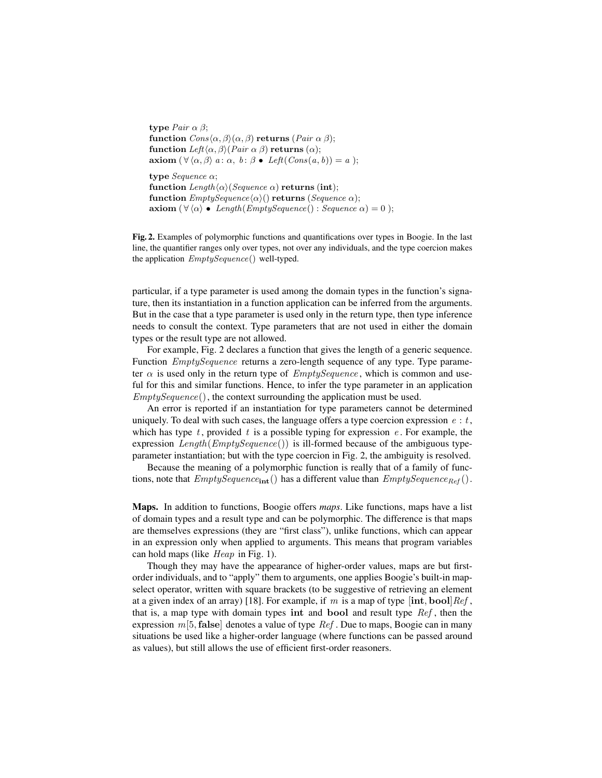type  $Pair \alpha \beta$ ; function  $Cons\langle \alpha, \beta \rangle(\alpha, \beta)$  returns (Pair  $\alpha \beta$ ); function  $Left\langle \alpha, \beta \rangle (Pair \alpha \beta)$  returns  $(\alpha);$ axiom  $(\forall \langle \alpha, \beta \rangle a : \alpha, b : \beta \bullet \text{Left}(Cons(a, b)) = a);$ type Sequence α; function  $Length \langle \alpha \rangle (Sequence \alpha)$  returns (int); function  $EmptySequence(\alpha)()$  returns (Sequence  $\alpha$ );  $axiom (\forall \langle \alpha \rangle \bullet Length(EmptySequence)) : Sequence \alpha) = 0$  );

Fig. 2. Examples of polymorphic functions and quantifications over types in Boogie. In the last line, the quantifier ranges only over types, not over any individuals, and the type coercion makes the application  $EmptySequence()$  well-typed.

particular, if a type parameter is used among the domain types in the function's signature, then its instantiation in a function application can be inferred from the arguments. But in the case that a type parameter is used only in the return type, then type inference needs to consult the context. Type parameters that are not used in either the domain types or the result type are not allowed.

For example, Fig. 2 declares a function that gives the length of a generic sequence. Function *EmptySequence* returns a zero-length sequence of any type. Type parameter  $\alpha$  is used only in the return type of  $EmptySequence$ , which is common and useful for this and similar functions. Hence, to infer the type parameter in an application  $EmptySequence()$ , the context surrounding the application must be used.

An error is reported if an instantiation for type parameters cannot be determined uniquely. To deal with such cases, the language offers a type coercion expression  $e : t$ , which has type t, provided t is a possible typing for expression  $e$ . For example, the expression  $Length(EmptySequence())$  is ill-formed because of the ambiguous typeparameter instantiation; but with the type coercion in Fig. 2, the ambiguity is resolved.

Because the meaning of a polymorphic function is really that of a family of functions, note that  $EmptySequence_{int}()$  has a different value than  $EmptySequence_{Ref}()$ .

Maps. In addition to functions, Boogie offers *maps*. Like functions, maps have a list of domain types and a result type and can be polymorphic. The difference is that maps are themselves expressions (they are "first class"), unlike functions, which can appear in an expression only when applied to arguments. This means that program variables can hold maps (like Heap in Fig. 1).

Though they may have the appearance of higher-order values, maps are but firstorder individuals, and to "apply" them to arguments, one applies Boogie's built-in mapselect operator, written with square brackets (to be suggestive of retrieving an element at a given index of an array) [18]. For example, if m is a map of type  $\left[$ **int**, **bool** $\left[$ *Ref*, that is, a map type with domain types int and bool and result type  $Ref$ , then the expression  $m[5,$  false denotes a value of type  $Ref$ . Due to maps, Boogie can in many situations be used like a higher-order language (where functions can be passed around as values), but still allows the use of efficient first-order reasoners.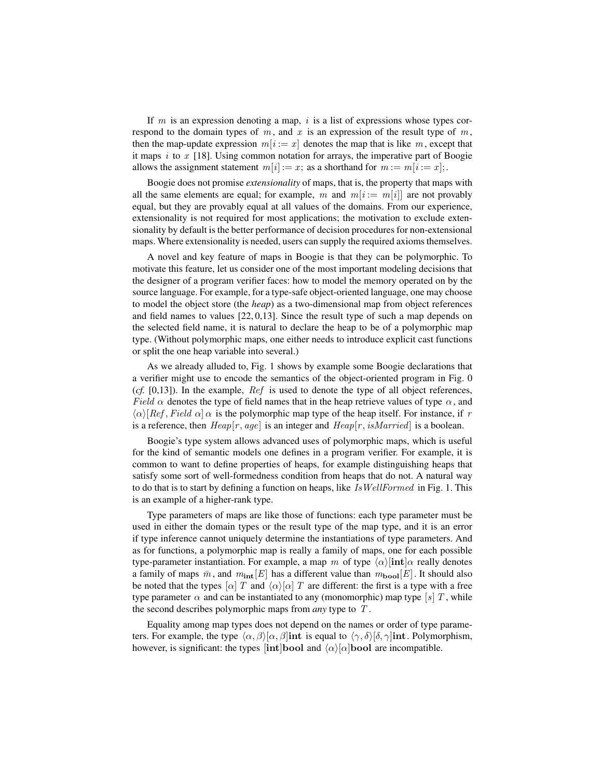If m is an expression denoting a map,  $i$  is a list of expressions whose types correspond to the domain types of  $m$ , and  $x$  is an expression of the result type of  $m$ , then the map-update expression  $m[i := x]$  denotes the map that is like m, except that it maps  $i$  to  $x$  [18]. Using common notation for arrays, the imperative part of Boogie allows the assignment statement  $m[i] := x$ ; as a shorthand for  $m := m[i] := x$ ;

Boogie does not promise *extensionality* of maps, that is, the property that maps with all the same elements are equal; for example, m and  $m[i := m[i]]$  are not provably equal, but they are provably equal at all values of the domains. From our experience, extensionality is not required for most applications; the motivation to exclude extensionality by default is the better performance of decision procedures for non-extensional maps. Where extensionality is needed, users can supply the required axioms themselves.

A novel and key feature of maps in Boogie is that they can be polymorphic. To motivate this feature, let us consider one of the most important modeling decisions that the designer of a program verifier faces: how to model the memory operated on by the source language. For example, for a type-safe object-oriented language, one may choose to model the object store (the *heap*) as a two-dimensional map from object references and field names to values [22, 0,13]. Since the result type of such a map depends on the selected field name, it is natural to declare the heap to be of a polymorphic map type. (Without polymorphic maps, one either needs to introduce explicit cast functions or split the one heap variable into several.)

As we already alluded to, Fig. 1 shows by example some Boogie declarations that a verifier might use to encode the semantics of the object-oriented program in Fig. 0 (*cf.* [0,13]). In the example,  $Ref$  is used to denote the type of all object references, Field  $\alpha$  denotes the type of field names that in the heap retrieve values of type  $\alpha$ , and  $\langle \alpha \rangle [Ref, Field \alpha] \alpha$  is the polymorphic map type of the heap itself. For instance, if r is a reference, then  $Heap[r, age]$  is an integer and  $Heap[r, isMarried]$  is a boolean.

Boogie's type system allows advanced uses of polymorphic maps, which is useful for the kind of semantic models one defines in a program verifier. For example, it is common to want to define properties of heaps, for example distinguishing heaps that satisfy some sort of well-formedness condition from heaps that do not. A natural way to do that is to start by defining a function on heaps, like  $Is WellFormed$  in Fig. 1. This is an example of a higher-rank type.

Type parameters of maps are like those of functions: each type parameter must be used in either the domain types or the result type of the map type, and it is an error if type inference cannot uniquely determine the instantiations of type parameters. And as for functions, a polymorphic map is really a family of maps, one for each possible type-parameter instantiation. For example, a map m of type  $\langle \alpha \rangle$ [int] $\alpha$  really denotes a family of maps  $\bar{m}$ , and  $m_{\text{int}}[E]$  has a different value than  $m_{\text{bool}}[E]$ . It should also be noted that the types  $\lbrack \alpha \rbrack T$  and  $\langle \alpha \rangle \lbrack \alpha \rbrack T$  are different: the first is a type with a free type parameter  $\alpha$  and can be instantiated to any (monomorphic) map type [s] T, while the second describes polymorphic maps from *any* type to T .

Equality among map types does not depend on the names or order of type parameters. For example, the type  $\langle \alpha, \beta \rangle [\alpha, \beta]$ int is equal to  $\langle \gamma, \delta \rangle [\delta, \gamma]$ int. Polymorphism, however, is significant: the types [int]bool and  $\langle \alpha \rangle[\alpha]$ bool are incompatible.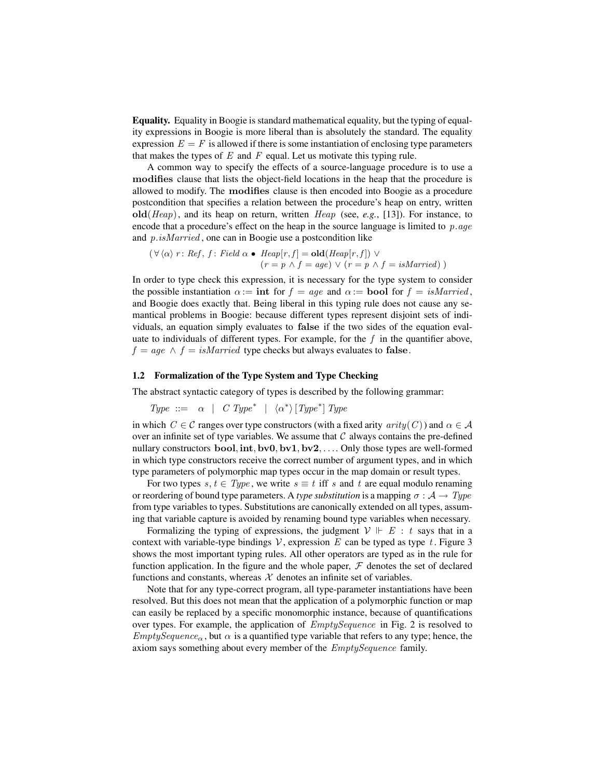Equality. Equality in Boogie is standard mathematical equality, but the typing of equality expressions in Boogie is more liberal than is absolutely the standard. The equality expression  $E = F$  is allowed if there is some instantiation of enclosing type parameters that makes the types of  $E$  and  $F$  equal. Let us motivate this typing rule.

A common way to specify the effects of a source-language procedure is to use a modifies clause that lists the object-field locations in the heap that the procedure is allowed to modify. The modifies clause is then encoded into Boogie as a procedure postcondition that specifies a relation between the procedure's heap on entry, written old(Heap), and its heap on return, written Heap (see, *e.g.*, [13]). For instance, to encode that a procedure's effect on the heap in the source language is limited to  $p_a$ and p.isMarried , one can in Boogie use a postcondition like

$$
(\forall \langle \alpha \rangle r: Ref, f: Field \alpha \bullet \text{Heap}[r, f] = \text{old}(\text{Heap}[r, f]) \vee
$$

$$
(r = p \land f = age) \vee (r = p \land f = is\text{Married}) )
$$

In order to type check this expression, it is necessary for the type system to consider the possible instantiation  $\alpha := \text{int}$  for  $f = age$  and  $\alpha := \text{bool}$  for  $f = isMarried$ , and Boogie does exactly that. Being liberal in this typing rule does not cause any semantical problems in Boogie: because different types represent disjoint sets of individuals, an equation simply evaluates to false if the two sides of the equation evaluate to individuals of different types. For example, for the  $f$  in the quantifier above,  $f = age \wedge f = isMarried$  type checks but always evaluates to false.

#### 1.2 Formalization of the Type System and Type Checking

The abstract syntactic category of types is described by the following grammar:

Type ::=  $\alpha$  | C Type<sup>\*</sup> |  $\langle \alpha^* \rangle$  [Type<sup>\*</sup>] Type

in which  $C \in \mathcal{C}$  ranges over type constructors (with a fixed arity  $arity(C)$ ) and  $\alpha \in \mathcal{A}$ over an infinite set of type variables. We assume that  $C$  always contains the pre-defined nullary constructors bool, int, bv0, bv1, bv2, ... Only those types are well-formed in which type constructors receive the correct number of argument types, and in which type parameters of polymorphic map types occur in the map domain or result types.

For two types  $s, t \in Type$ , we write  $s \equiv t$  iff s and t are equal modulo renaming or reordering of bound type parameters. A *type substitution* is a mapping  $\sigma : A \rightarrow Type$ from type variables to types. Substitutions are canonically extended on all types, assuming that variable capture is avoided by renaming bound type variables when necessary.

Formalizing the typing of expressions, the judgment  $V \Vdash E : t$  says that in a context with variable-type bindings  $\mathcal V$ , expression E can be typed as type t. Figure 3 shows the most important typing rules. All other operators are typed as in the rule for function application. In the figure and the whole paper,  $\mathcal F$  denotes the set of declared functions and constants, whereas  $X$  denotes an infinite set of variables.

Note that for any type-correct program, all type-parameter instantiations have been resolved. But this does not mean that the application of a polymorphic function or map can easily be replaced by a specific monomorphic instance, because of quantifications over types. For example, the application of  $EmptySequence$  in Fig. 2 is resolved to  $EmptySequence_{\alpha}$ , but  $\alpha$  is a quantified type variable that refers to any type; hence, the axiom says something about every member of the *EmptySequence* family.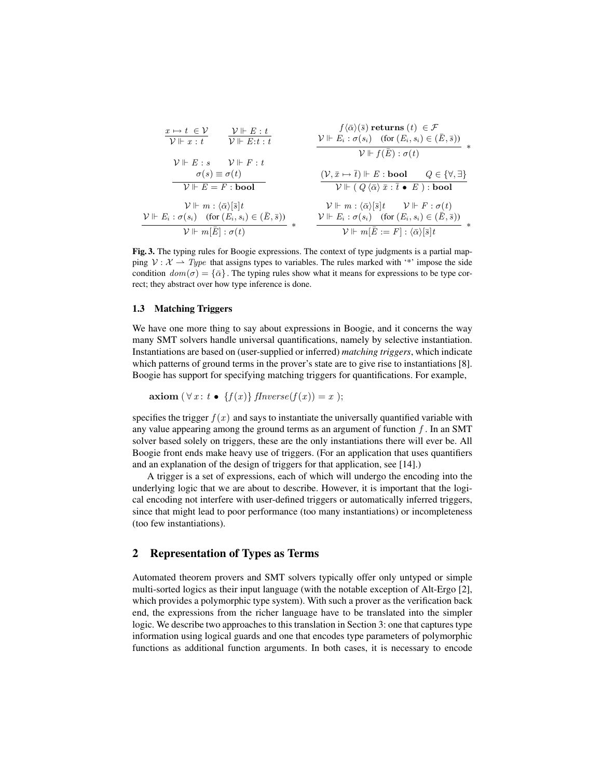$$
\frac{x \mapsto t \in \mathcal{V}}{\mathcal{V} \Vdash x : t} \qquad \frac{\mathcal{V} \Vdash E : t}{\mathcal{V} \Vdash E : t : t} \qquad \frac{f \langle \bar{\alpha} \rangle(\bar{s}) \text{ returns } (t) \in \mathcal{F}}{\mathcal{V} \Vdash F : t}
$$
\n
$$
\frac{\mathcal{V} \Vdash E : s \qquad \mathcal{V} \Vdash F : t}{\mathcal{V} \Vdash F : t} \qquad \frac{\sigma(s) \equiv \sigma(t)}{\mathcal{V} \Vdash E = F : \text{bool}} \qquad \frac{(\mathcal{V}, \bar{x} \mapsto \bar{t}) \Vdash E : \text{bool } Q \in \{\forall, \exists\}}{\mathcal{V} \Vdash F : \bar{t} \qquad \frac{\mathcal{V} \Vdash F : t}{\mathcal{V} \Vdash (Q \langle \bar{\alpha} \rangle \bar{x} : \bar{t} \bullet E) : \text{bool}}{\mathcal{V} \Vdash F : \sigma(t)}
$$
\n
$$
\frac{\mathcal{V} \Vdash m : \langle \bar{\alpha} \rangle[\bar{s}]t}{\mathcal{V} \Vdash m : \langle \bar{\alpha} \rangle[\bar{s}]t} \qquad \frac{\mathcal{V} \Vdash m : \langle \bar{\alpha} \rangle[\bar{s}]t}{\mathcal{V} \Vdash F : \sigma(s_i) \quad (\text{for } (E_i, s_i) \in (\bar{E}, \bar{s}))}{\mathcal{V} \Vdash m[\bar{E} : \sigma(s_i) \quad (\text{for } (E_i, s_i) \in (\bar{E}, \bar{s}))}{\mathcal{V} \Vdash m[\bar{E} := F] : \langle \bar{\alpha} \rangle[\bar{s}]t} \qquad \frac{\mathcal{V} \Vdash m}{\mathcal{V} \Vdash m[\bar{E} := F] : \langle \bar{\alpha} \rangle[\bar{s}]t}{\mathcal{V} \Vdash m[\bar{E} : \sigma(s_i) \quad (\text{for } (E_i, s_i) \in (\bar{E}, \bar{s}))}{\mathcal{V} \Vdash m[\bar{E} : \sigma(s_i) \quad (\text{for } (E_i, s_i) \in (\bar{E}, \bar{s}))}{\mathcal{V} \Vdash m[\bar{E} : \sigma(s_i) \quad \mathcal{V} \Vdash m[\bar{E} : \sigma(s_i) \quad \mathcal{V} \Vdash m[\bar{E} : \sigma(s_i) \quad (\text{
$$

Fig. 3. The typing rules for Boogie expressions. The context of type judgments is a partial mapping  $V : \mathcal{X} \longrightarrow Type$  that assigns types to variables. The rules marked with '\*' impose the side condition  $dom(\sigma) = {\{\bar{\alpha}\}\}\.$  The typing rules show what it means for expressions to be type correct; they abstract over how type inference is done.

#### 1.3 Matching Triggers

We have one more thing to say about expressions in Boogie, and it concerns the way many SMT solvers handle universal quantifications, namely by selective instantiation. Instantiations are based on (user-supplied or inferred) *matching triggers*, which indicate which patterns of ground terms in the prover's state are to give rise to instantiations [8]. Boogie has support for specifying matching triggers for quantifications. For example,

axiom ( ∀ x : t • {f (x )} fInverse(f (x )) = x );

specifies the trigger  $f(x)$  and says to instantiate the universally quantified variable with any value appearing among the ground terms as an argument of function  $f$ . In an SMT solver based solely on triggers, these are the only instantiations there will ever be. All Boogie front ends make heavy use of triggers. (For an application that uses quantifiers and an explanation of the design of triggers for that application, see [14].)

A trigger is a set of expressions, each of which will undergo the encoding into the underlying logic that we are about to describe. However, it is important that the logical encoding not interfere with user-defined triggers or automatically inferred triggers, since that might lead to poor performance (too many instantiations) or incompleteness (too few instantiations).

## 2 Representation of Types as Terms

Automated theorem provers and SMT solvers typically offer only untyped or simple multi-sorted logics as their input language (with the notable exception of Alt-Ergo [2], which provides a polymorphic type system). With such a prover as the verification back end, the expressions from the richer language have to be translated into the simpler logic. We describe two approaches to this translation in Section 3: one that captures type information using logical guards and one that encodes type parameters of polymorphic functions as additional function arguments. In both cases, it is necessary to encode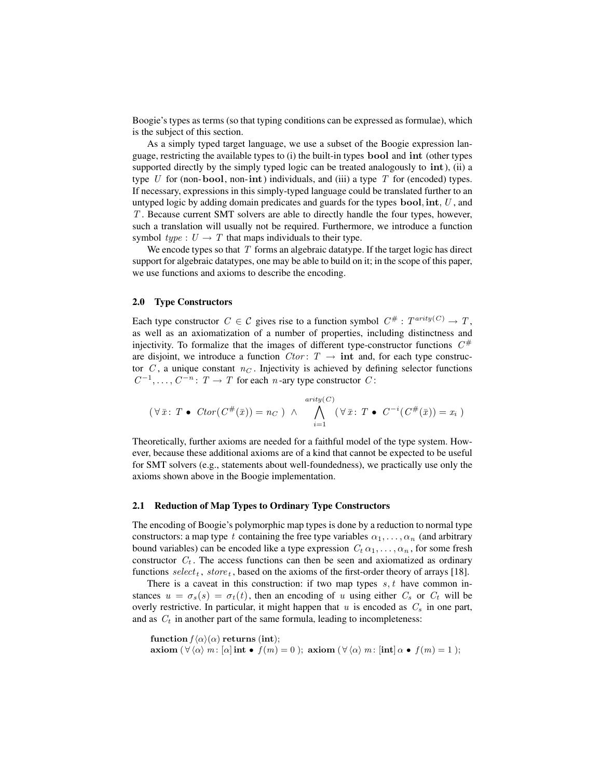Boogie's types as terms (so that typing conditions can be expressed as formulae), which is the subject of this section.

As a simply typed target language, we use a subset of the Boogie expression language, restricting the available types to (i) the built-in types bool and int (other types supported directly by the simply typed logic can be treated analogously to int), (ii) a type  $U$  for (non-bool, non-int) individuals, and (iii) a type  $T$  for (encoded) types. If necessary, expressions in this simply-typed language could be translated further to an untyped logic by adding domain predicates and guards for the types **bool**,  $int, U$ , and T . Because current SMT solvers are able to directly handle the four types, however, such a translation will usually not be required. Furthermore, we introduce a function symbol  $type: U \rightarrow T$  that maps individuals to their type.

We encode types so that  $T$  forms an algebraic datatype. If the target logic has direct support for algebraic datatypes, one may be able to build on it; in the scope of this paper, we use functions and axioms to describe the encoding.

### 2.0 Type Constructors

Each type constructor  $C \in \mathcal{C}$  gives rise to a function symbol  $C^{\#}$ :  $T^{arity(C)} \to T$ , as well as an axiomatization of a number of properties, including distinctness and injectivity. To formalize that the images of different type-constructor functions  $C^{\#}$ are disjoint, we introduce a function  $Ctor: T \rightarrow \text{int}$  and, for each type constructor  $C$ , a unique constant  $n_C$ . Injectivity is achieved by defining selector functions  $C^{-1}, \ldots, C^{-n} \colon T \to T$  for each *n*-ary type constructor C:

$$
(\forall \bar{x}: T \bullet \; Ctor(C^{\#}(\bar{x})) = n_C) \ \wedge \ \bigwedge_{i=1}^{arity(C)} (\forall \bar{x}: T \bullet \ C^{-i}(C^{\#}(\bar{x})) = x_i)
$$

Theoretically, further axioms are needed for a faithful model of the type system. However, because these additional axioms are of a kind that cannot be expected to be useful for SMT solvers (e.g., statements about well-foundedness), we practically use only the axioms shown above in the Boogie implementation.

#### 2.1 Reduction of Map Types to Ordinary Type Constructors

The encoding of Boogie's polymorphic map types is done by a reduction to normal type constructors: a map type t containing the free type variables  $\alpha_1, \ldots, \alpha_n$  (and arbitrary bound variables) can be encoded like a type expression  $C_t \alpha_1, \ldots, \alpha_n$ , for some fresh constructor  $C_t$ . The access functions can then be seen and axiomatized as ordinary functions  $select_t$ ,  $store_t$ , based on the axioms of the first-order theory of arrays [18].

There is a caveat in this construction: if two map types  $s, t$  have common instances  $u = \sigma_s(s) = \sigma_t(t)$ , then an encoding of u using either  $C_s$  or  $C_t$  will be overly restrictive. In particular, it might happen that  $u$  is encoded as  $C_s$  in one part, and as  $C_t$  in another part of the same formula, leading to incompleteness:

function  $f\langle \alpha \rangle(\alpha)$  returns (int); axiom  $(\forall \langle \alpha \rangle m : [\alpha] \text{ int} \bullet f(m) = 0)$ ; axiom  $(\forall \langle \alpha \rangle m : [\text{int}] \alpha \bullet f(m) = 1)$ ;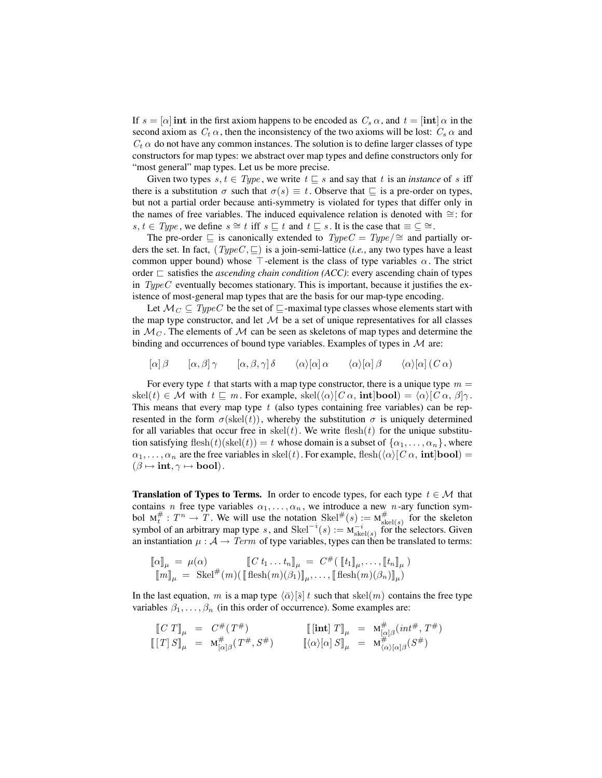If  $s = [\alpha]$  int in the first axiom happens to be encoded as  $C_s \alpha$ , and  $t = [\text{int}] \alpha$  in the second axiom as  $C_t \alpha$ , then the inconsistency of the two axioms will be lost:  $C_s \alpha$  and  $C_t \alpha$  do not have any common instances. The solution is to define larger classes of type constructors for map types: we abstract over map types and define constructors only for "most general" map types. Let us be more precise.

Given two types  $s, t \in Type$ , we write  $t \subseteq s$  and say that t is an *instance* of s iff there is a substitution  $\sigma$  such that  $\sigma(s) \equiv t$ . Observe that  $\sqsubseteq$  is a pre-order on types, but not a partial order because anti-symmetry is violated for types that differ only in the names of free variables. The induced equivalence relation is denoted with ≅: for s,  $t \in Type$ , we define  $s \cong t$  iff  $s \sqsubseteq t$  and  $t \sqsubseteq s$ . It is the case that  $\equiv \subseteq \cong$ .

The pre-order  $\subseteq$  is canonically extended to  $TypeC = Type/\cong$  and partially orders the set. In fact,  $(TypeC, \sqsubseteq)$  is a join-semi-lattice (*i.e.*, any two types have a least common upper bound) whose  $\top$ -element is the class of type variables  $\alpha$ . The strict order  $\sqsubset$  satisfies the *ascending chain condition (ACC)*: every ascending chain of types in  $TypeC$  eventually becomes stationary. This is important, because it justifies the existence of most-general map types that are the basis for our map-type encoding.

Let  $\mathcal{M}_C \subseteq TypeC$  be the set of  $\sqsubseteq$ -maximal type classes whose elements start with the map type constructor, and let  $M$  be a set of unique representatives for all classes in  $\mathcal{M}_C$ . The elements of  $\mathcal M$  can be seen as skeletons of map types and determine the binding and occurrences of bound type variables. Examples of types in  $\mathcal M$  are:

 $[\alpha]\beta$   $[\alpha,\beta]\gamma$   $[\alpha,\beta,\gamma]\delta$   $\langle\alpha\rangle[\alpha]\alpha$   $\langle\alpha\rangle[\alpha]\beta$   $\langle\alpha\rangle[\alpha](C\alpha)$ 

For every type t that starts with a map type constructor, there is a unique type  $m =$ skel(t)  $\in \mathcal{M}$  with  $t \sqsubseteq m$ . For example, skel( $\langle \alpha \rangle$ [C  $\alpha$ , int]bool) =  $\langle \alpha \rangle$ [C  $\alpha$ ,  $\beta$ ] $\gamma$ . This means that every map type  $t$  (also types containing free variables) can be represented in the form  $\sigma$ (skel(t)), whereby the substitution  $\sigma$  is uniquely determined for all variables that occur free in  $skel(t)$ . We write flesh $(t)$  for the unique substitution satisfying flesh $(t)(\text{skel}(t)) = t$  whose domain is a subset of  $\{\alpha_1, \dots, \alpha_n\}$ , where  $\alpha_1, \ldots, \alpha_n$  are the free variables in skel(t). For example, flesh( $\langle \alpha \rangle$ [C  $\alpha$ , int]bool) =  $(\beta \mapsto \mathbf{int}, \gamma \mapsto \mathbf{bool}).$ 

**Translation of Types to Terms.** In order to encode types, for each type  $t \in \mathcal{M}$  that contains n free type variables  $\alpha_1, \ldots, \alpha_n$ , we introduce a new n-ary function symbol  $M_t^{\#}: T^n \to T$ . We will use the notation  $Skel^{\#}(s) := M_{sk}^{\#}$  $\frac{\pi}{\text{skel}(s)}$  for the skeleton symbol of an arbitrary map type s, and  $Skel^{-i}(s) := M_{\text{skel}(s)}^{-i}$  for the selectors. Given an instantiation  $\mu : A \rightarrow Term$  of type variables, types can then be translated to terms:

$$
\begin{aligned}\n\llbracket \alpha \rrbracket_{\mu} &= \mu(\alpha) & \llbracket C \, t_1 \dots t_n \rrbracket_{\mu} = C^{\#}(\llbracket t_1 \rrbracket_{\mu}, \dots, \llbracket t_n \rrbracket_{\mu}) \\
\llbracket m \rrbracket_{\mu} &= \text{Skel}^{\#}(m) (\llbracket \text{fresh}(m)(\beta_1) \rrbracket_{\mu}, \dots, \llbracket \text{fresh}(m)(\beta_n) \rrbracket_{\mu})\n\end{aligned}
$$

In the last equation, m is a map type  $\langle \bar{\alpha} \rangle [\bar{s}] t$  such that skel(m) contains the free type variables  $\beta_1, \ldots, \beta_n$  (in this order of occurrence). Some examples are:

$$
\begin{array}{rcl}\n\llbracket C\ T \rrbracket_{\mu} & = & C^{\#}(T^{\#}) \\
\llbracket \, [T]\ S \rrbracket_{\mu} & = & \mathsf{M}_{[\alpha]\beta}^{\#}(T^{\#},S^{\#}) \\
\end{array}\n\qquad\n\begin{array}{rcl}\n\llbracket \, [\mathbf{int}]\ T \rrbracket_{\mu} & = & \mathsf{M}_{[\alpha]\beta}^{\#}(int^{\#},T^{\#}) \\
\llbracket \, \langle \alpha \rangle[\alpha]\ S \rrbracket_{\mu} & = & \mathsf{M}_{\langle \alpha \rangle[\alpha]\beta}^{\#}(S^{\#})\n\end{array}
$$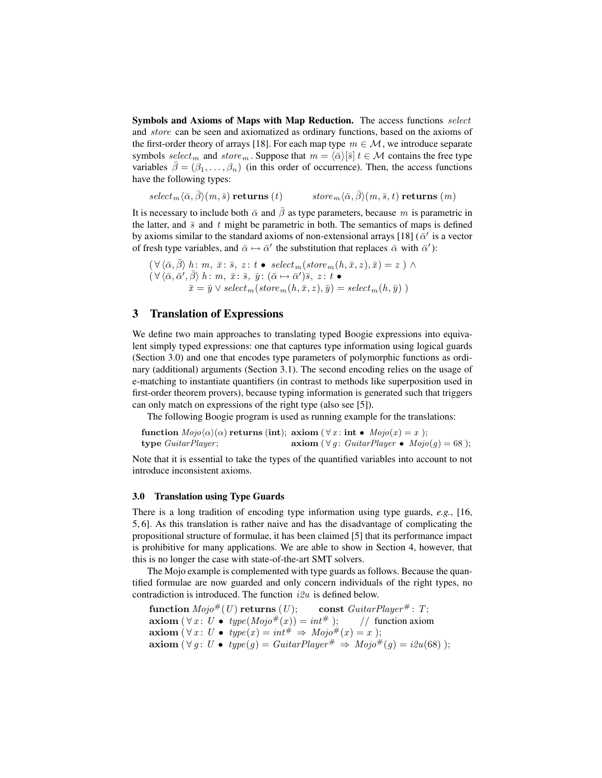Symbols and Axioms of Maps with Map Reduction. The access functions select and store can be seen and axiomatized as ordinary functions, based on the axioms of the first-order theory of arrays [18]. For each map type  $m \in \mathcal{M}$ , we introduce separate symbols  $select_m$  and  $store_m$ . Suppose that  $m = \langle \bar{\alpha} \rangle [\bar{s}] t \in \mathcal{M}$  contains the free type variables  $\bar{\beta} = (\beta_1, \dots, \beta_n)$  (in this order of occurrence). Then, the access functions have the following types:

```
select_m\langle\bar{\alpha},\bar{\beta}\rangle(m,\bar{s}) returns (t) store_m\langle\bar{\alpha},\bar{\beta}\rangle(m,\bar{s},t) returns (m)
```
It is necessary to include both  $\bar{\alpha}$  and  $\bar{\beta}$  as type parameters, because m is parametric in the latter, and  $\bar{s}$  and  $t$  might be parametric in both. The semantics of maps is defined by axioms similar to the standard axioms of non-extensional arrays [18] ( $\bar{\alpha}'$  is a vector of fresh type variables, and  $\bar{\alpha} \mapsto \bar{\alpha}'$  the substitution that replaces  $\bar{\alpha}$  with  $\bar{\alpha}'$ ):

$$
(\forall \langle \bar{\alpha}, \bar{\beta} \rangle h: m, \bar{x}: \bar{s}, z: t \bullet select_m(store_m(h, \bar{x}, z), \bar{x}) = z) \land (\forall \langle \bar{\alpha}, \bar{\alpha}', \bar{\beta} \rangle h: m, \bar{x}: \bar{s}, \bar{y}: (\bar{\alpha} \mapsto \bar{\alpha}')\bar{s}, z: t \bullet \bar{x} = \bar{y} \lor select_m(store_m(h, \bar{x}, z), \bar{y}) = select_m(h, \bar{y}) )
$$

## 3 Translation of Expressions

We define two main approaches to translating typed Boogie expressions into equivalent simply typed expressions: one that captures type information using logical guards (Section 3.0) and one that encodes type parameters of polymorphic functions as ordinary (additional) arguments (Section 3.1). The second encoding relies on the usage of e-matching to instantiate quantifiers (in contrast to methods like superposition used in first-order theorem provers), because typing information is generated such that triggers can only match on expressions of the right type (also see [5]).

The following Boogie program is used as running example for the translations:

function 
$$
Mojo\langle\alpha\rangle(\alpha)
$$
 returns (int); axiom ( $\forall x$ : int •  $Mojo(x) = x$ );  
type *GuitarPlayer*; axiom ( $\forall g$ : *GuitarPlayer* •  $Mojo(g) = 68$ );

Note that it is essential to take the types of the quantified variables into account to not introduce inconsistent axioms.

### 3.0 Translation using Type Guards

There is a long tradition of encoding type information using type guards, *e.g.*, [16, 5, 6]. As this translation is rather naive and has the disadvantage of complicating the propositional structure of formulae, it has been claimed [5] that its performance impact is prohibitive for many applications. We are able to show in Section 4, however, that this is no longer the case with state-of-the-art SMT solvers.

The Mojo example is complemented with type guards as follows. Because the quantified formulae are now guarded and only concern individuals of the right types, no contradiction is introduced. The function  $i2u$  is defined below.

function  $Mojo^{\#}(U)$  returns  $(U)$ ; const  $GuitarPlayer^{\#}$ : T; axiom  $(\forall x: U \bullet type(Mojo^{\#}(x)) = int^{\#})$ ; // function axiom axiom  $(\forall x: U \bullet \text{ type}(x) = \text{int}^{\#'} \Rightarrow \text{Mojo}^{\#}(x) = x);$ axiom  $(\forall g: U \bullet type(g) = GuitarPlayer^{\#} \Rightarrow \text{Mojo}^{\#}(g) = i2u(68)$  );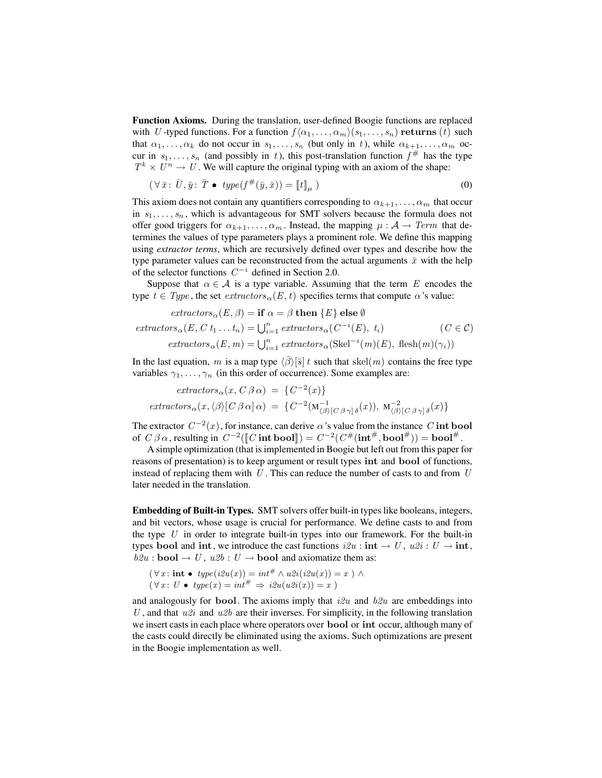Function Axioms. During the translation, user-defined Boogie functions are replaced with U-typed functions. For a function  $f(\alpha_1, \ldots, \alpha_m)(s_1, \ldots, s_n)$  returns (t) such that  $\alpha_1, \ldots, \alpha_k$  do not occur in  $s_1, \ldots, s_n$  (but only in t), while  $\alpha_{k+1}, \ldots, \alpha_m$  occur in  $s_1, \ldots, s_n$  (and possibly in t), this post-translation function  $f^{\#}$  has the type  $T^k \times U^n \to U$ . We will capture the original typing with an axiom of the shape:

$$
(\forall \bar{x}: \bar{U}, \bar{y}: \bar{T} \bullet type(f^{\#}(\bar{y}, \bar{x})) = [\![t]\!]_{\mu})
$$
\n
$$
(0)
$$

This axiom does not contain any quantifiers corresponding to  $\alpha_{k+1}, \ldots, \alpha_m$  that occur in  $s_1, \ldots, s_n$ , which is advantageous for SMT solvers because the formula does not offer good triggers for  $\alpha_{k+1}, \ldots, \alpha_m$ . Instead, the mapping  $\mu : A \rightarrow Term$  that determines the values of type parameters plays a prominent role. We define this mapping using *extractor terms*, which are recursively defined over types and describe how the type parameter values can be reconstructed from the actual arguments  $\bar{x}$  with the help of the selector functions  $C^{-i}$  defined in Section 2.0.

Suppose that  $\alpha \in \mathcal{A}$  is a type variable. Assuming that the term E encodes the type  $t \in Type$ , the set  $extractors_{\alpha}(E, t)$  specifies terms that compute  $\alpha$ 's value:

$$
extractors_{\alpha}(E, \beta) = \textbf{if } \alpha = \beta \textbf{ then } \{E\} \textbf{ else } \emptyset
$$

$$
extractors_{\alpha}(E, C t_1 ... t_n) = \bigcup_{i=1}^n extractors_{\alpha}(C^{-i}(E), t_i) \qquad (C \in \mathcal{C})
$$

$$
extractors_{\alpha}(E, m) = \bigcup_{i=1}^n extractors_{\alpha}(\textbf{Skel}^{-i}(m)(E), \textbf{flesh}(m)(\gamma_i))
$$

In the last equation, m is a map type  $\langle \overline{\beta} \rangle [\overline{s}] t$  such that skel(m) contains the free type variables  $\gamma_1, \ldots, \gamma_n$  (in this order of occurrence). Some examples are:

$$
extractors_{\alpha}(x, C \beta \alpha) = \{C^{-2}(x)\}
$$

$$
extractors_{\alpha}(x, \langle \beta \rangle [C \beta \alpha] \alpha) = \{C^{-2}(\mathbf{M}_{\langle \beta \rangle [C \beta \gamma] \delta}^{-1}(x)), \mathbf{M}_{\langle \beta \rangle [C \beta \gamma] \delta}^{-2}(x)\}
$$

The extractor  $C^{-2}(x)$ , for instance, can derive  $\alpha$ 's value from the instance C int bool of  $C \beta \alpha$ , resulting in  $C^{-2}(\llbracket C \text{ int } \text{bool} \rrbracket) = C^{-2}(C^{\#}(\text{int}^{\#}, \text{bool}^{\#})) = \text{bool}^{\#}.$ 

A simple optimization (that is implemented in Boogie but left out from this paper for reasons of presentation) is to keep argument or result types int and bool of functions, instead of replacing them with  $U$ . This can reduce the number of casts to and from  $U$ later needed in the translation.

Embedding of Built-in Types. SMT solvers offer built-in types like booleans, integers, and bit vectors, whose usage is crucial for performance. We define casts to and from the type  $U$  in order to integrate built-in types into our framework. For the built-in types bool and int, we introduce the cast functions  $i2u : \text{int} \rightarrow U$ ,  $u2i : U \rightarrow \text{int}$ ,  $b2u : \textbf{bool} \rightarrow U$ ,  $u2b : U \rightarrow \textbf{bool}$  and axiomatize them as:

$$
(\forall x: \text{int} \bullet \text{ type}(i2u(x)) = int^{\#} \land u2i(i2u(x)) = x) \land (\forall x: U \bullet \text{ type}(x) = int^{\#} \Rightarrow i2u(u2i(x)) = x)
$$

and analogously for bool. The axioms imply that  $i2u$  and  $b2u$  are embeddings into U, and that  $u2i$  and  $u2b$  are their inverses. For simplicity, in the following translation we insert casts in each place where operators over bool or int occur, although many of the casts could directly be eliminated using the axioms. Such optimizations are present in the Boogie implementation as well.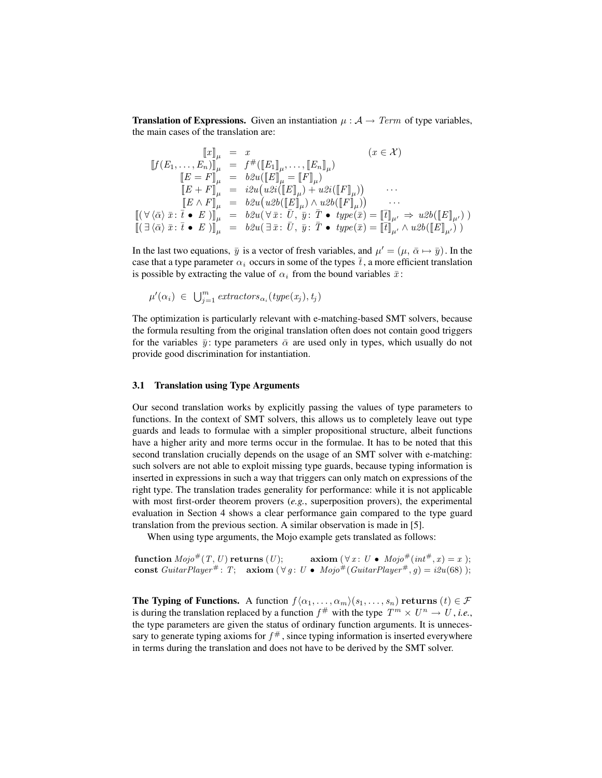**Translation of Expressions.** Given an instantiation  $\mu : A \rightarrow Term$  of type variables, the main cases of the translation are:

$$
\begin{array}{rcl}\n\llbracket x \rrbracket_{\mu} & = & x & (x \in \mathcal{X}) \\
\llbracket f(E_1, \ldots, E_n) \rrbracket_{\mu} & = & f^{\#}(\llbracket E_1 \rrbracket_{\mu}, \ldots, \llbracket E_n \rrbracket_{\mu}) \\
\llbracket E = F \rrbracket_{\mu} & = & b2u(\llbracket E \rrbracket_{\mu} = \llbracket F \rrbracket_{\mu}) \\
\llbracket E + F \rrbracket_{\mu} & = & i2u(u2i(\llbracket E \rrbracket_{\mu}) + u2i(\llbracket F \rrbracket_{\mu})) & \cdots \\
\llbracket F \wedge F \rrbracket_{\mu} & = & b2u(u2b(\llbracket E \rrbracket_{\mu}) \wedge u2b(\llbracket F \rrbracket_{\mu})) & \cdots \\
\llbracket (\forall \langle \bar{\alpha} \rangle \bar{x} : \bar{t} \bullet E \rangle ) \rrbracket_{\mu} & = & b2u(\forall \bar{x} : \bar{U}, \bar{y} : \bar{T} \bullet \; type(\bar{x}) = \llbracket \bar{t} \rrbracket_{\mu'} \Rightarrow u2b(\llbracket E \rrbracket_{\mu'}) \\
\llbracket (\exists \langle \bar{\alpha} \rangle \bar{x} : \bar{t} \bullet E \rangle ) \rrbracket_{\mu} & = & b2u(\exists \bar{x} : \bar{U}, \bar{y} : \bar{T} \bullet \; type(\bar{x}) = \llbracket \bar{t} \rrbracket_{\mu'} \wedge u2b(\llbracket E \rrbracket_{\mu'})\n\end{array}
$$

In the last two equations,  $\bar{y}$  is a vector of fresh variables, and  $\mu' = (\mu, \bar{\alpha} \mapsto \bar{y})$ . In the case that a type parameter  $\alpha_i$  occurs in some of the types  $\bar{t}$ , a more efficient translation is possible by extracting the value of  $\alpha_i$  from the bound variables  $\bar{x}$ :

$$
\mu'(\alpha_i) \in \bigcup_{j=1}^m \text{extractors}_{\alpha_i}(\text{type}(x_j), t_j)
$$

The optimization is particularly relevant with e-matching-based SMT solvers, because the formula resulting from the original translation often does not contain good triggers for the variables  $\bar{y}$ : type parameters  $\bar{\alpha}$  are used only in types, which usually do not provide good discrimination for instantiation.

#### 3.1 Translation using Type Arguments

Our second translation works by explicitly passing the values of type parameters to functions. In the context of SMT solvers, this allows us to completely leave out type guards and leads to formulae with a simpler propositional structure, albeit functions have a higher arity and more terms occur in the formulae. It has to be noted that this second translation crucially depends on the usage of an SMT solver with e-matching: such solvers are not able to exploit missing type guards, because typing information is inserted in expressions in such a way that triggers can only match on expressions of the right type. The translation trades generality for performance: while it is not applicable with most first-order theorem provers (*e.g.*, superposition provers), the experimental evaluation in Section 4 shows a clear performance gain compared to the type guard translation from the previous section. A similar observation is made in [5].

When using type arguments, the Mojo example gets translated as follows:

function  $Mojo^{\#}(T, U)$  returns  $(U);$  axiom  $(\forall x: U \bullet \, \textit{Mojo}^{\#}(\textit{int}^{\#}, x) = x);$ const GuitarPlayer<sup>#</sup>: T; axiom  $(\forall g: U \bullet \text{ Mojo}^{\#}(GuitarPlayer^{\#}, g) = i2u(68))$ ;

**The Typing of Functions.** A function  $f\langle \alpha_1, \ldots, \alpha_m \rangle (s_1, \ldots, s_n)$  returns  $(t) \in \mathcal{F}$ is during the translation replaced by a function  $f^{\#}$  with the type  $T^m \times U^n \rightarrow U$ , *i.e.*, the type parameters are given the status of ordinary function arguments. It is unnecessary to generate typing axioms for  $f^\#$  , since typing information is inserted everywhere in terms during the translation and does not have to be derived by the SMT solver.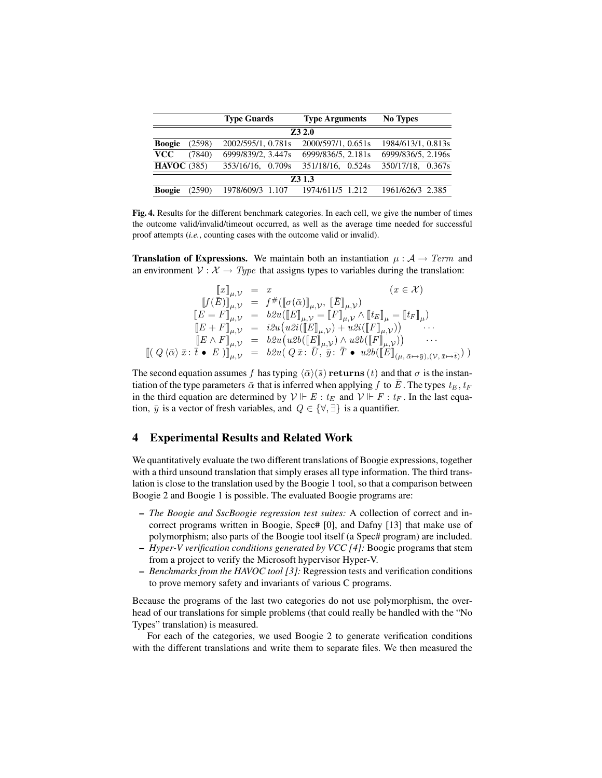|                    |        | <b>Type Guards</b> | <b>Type Arguments</b> | No Types           |
|--------------------|--------|--------------------|-----------------------|--------------------|
| Z <sub>3</sub> 2.0 |        |                    |                       |                    |
| <b>Boogie</b>      | (2598) | 2002/595/1, 0.781s | 2000/597/1, 0.651s    | 1984/613/1, 0.813s |
| <b>VCC</b>         | (7840) | 6999/839/2, 3.447s | 6999/836/5, 2.181s    | 6999/836/5, 2.196s |
| <b>HAVOC</b> (385) |        | 353/16/16, 0.709s  | 351/18/16, 0.524s     | 350/17/18, 0.367s  |
| Z3 1.3             |        |                    |                       |                    |
| <b>Boogie</b>      | (2590) | 1978/609/3 1.107   | 1974/611/5 1.212      | 1961/626/3 2.385   |

Fig. 4. Results for the different benchmark categories. In each cell, we give the number of times the outcome valid/invalid/timeout occurred, as well as the average time needed for successful proof attempts (*i.e.*, counting cases with the outcome valid or invalid).

**Translation of Expressions.** We maintain both an instantiation  $\mu : A \rightarrow Term$  and an environment  $V: \mathcal{X} \rightarrow Type$  that assigns types to variables during the translation:

$$
\begin{array}{rcl}\n[\![x]\!]_{\mu,\mathcal{V}} & = & x & (x \in \mathcal{X}) \\
[\![f(\bar{E})]\!]_{\mu,\mathcal{V}} & = & f^{\#}([\![\sigma(\bar{\alpha})]\!]_{\mu,\mathcal{V}}, \, [\![\bar{E}]\!]_{\mu,\mathcal{V}}) \\
[\![E = F]\!]_{\mu,\mathcal{V}} & = & b2u([\![E]\!]_{\mu,\mathcal{V}} = [\![F]\!]_{\mu,\mathcal{V}} \wedge [\![t_E]\!]_{\mu} = [\![t_F]\!]_{\mu}) \\
[\![E + F]\!]_{\mu,\mathcal{V}} & = & i2u(u2i([\![E]\!]_{\mu,\mathcal{V}}) + u2i([\![F]\!]_{\mu,\mathcal{V}})) \qquad \cdots \\
[\![E \wedge F]\!]_{\mu,\mathcal{V}} & = & b2u(u2b([\![E]\!]_{\mu,\mathcal{V}}) \wedge u2b([\![F]\!]_{\mu,\mathcal{V}})) \qquad \cdots \\
[\![Q \langle \bar{\alpha} \rangle \bar{x} : \bar{t} \bullet E \rangle]\!]_{\mu,\mathcal{V}} & = & b2u(Q\bar{x} : \bar{U}, \bar{y} : \bar{T} \bullet u2b([\![E]\!]_{(\mu,\bar{\alpha} \mapsto \bar{y}),(\mathcal{V},\bar{x} \mapsto \bar{t})}))\n\end{array}
$$

The second equation assumes f has typing  $\langle \bar{\alpha} \rangle(\bar{s})$  returns (t) and that  $\sigma$  is the instantiation of the type parameters  $\bar{\alpha}$  that is inferred when applying f to  $\bar{E}$ . The types  $t_E, t_F$ in the third equation are determined by  $V \Vdash E : t_E$  and  $V \Vdash F : t_F$ . In the last equation,  $\bar{y}$  is a vector of fresh variables, and  $Q \in \{ \forall, \exists \}$  is a quantifier.

## 4 Experimental Results and Related Work

We quantitatively evaluate the two different translations of Boogie expressions, together with a third unsound translation that simply erases all type information. The third translation is close to the translation used by the Boogie 1 tool, so that a comparison between Boogie 2 and Boogie 1 is possible. The evaluated Boogie programs are:

- *The Boogie and SscBoogie regression test suites:* A collection of correct and incorrect programs written in Boogie, Spec# [0], and Dafny [13] that make use of polymorphism; also parts of the Boogie tool itself (a Spec# program) are included.
- *Hyper-V verification conditions generated by VCC [4]:* Boogie programs that stem from a project to verify the Microsoft hypervisor Hyper-V.
- *Benchmarks from the HAVOC tool [3]:* Regression tests and verification conditions to prove memory safety and invariants of various C programs.

Because the programs of the last two categories do not use polymorphism, the overhead of our translations for simple problems (that could really be handled with the "No Types" translation) is measured.

For each of the categories, we used Boogie 2 to generate verification conditions with the different translations and write them to separate files. We then measured the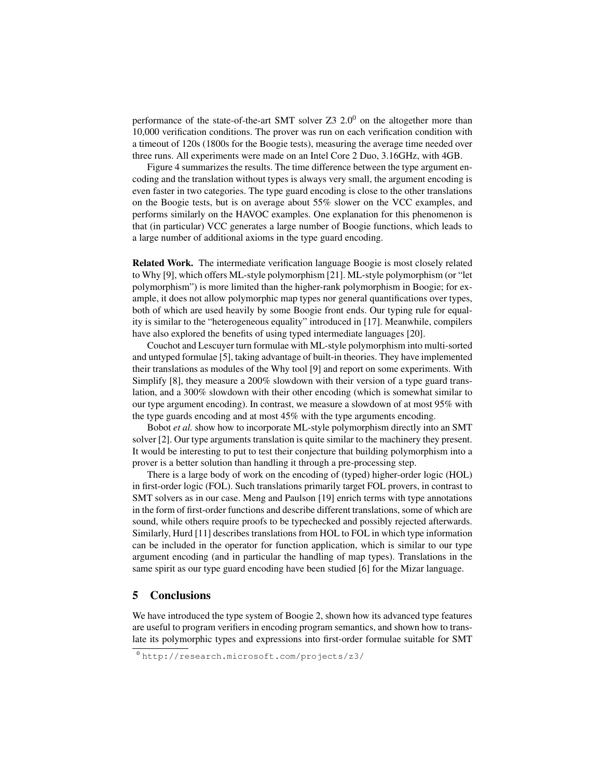performance of the state-of-the-art SMT solver  $Z_2$  2.0<sup>0</sup> on the altogether more than 10,000 verification conditions. The prover was run on each verification condition with a timeout of 120s (1800s for the Boogie tests), measuring the average time needed over three runs. All experiments were made on an Intel Core 2 Duo, 3.16GHz, with 4GB.

Figure 4 summarizes the results. The time difference between the type argument encoding and the translation without types is always very small, the argument encoding is even faster in two categories. The type guard encoding is close to the other translations on the Boogie tests, but is on average about 55% slower on the VCC examples, and performs similarly on the HAVOC examples. One explanation for this phenomenon is that (in particular) VCC generates a large number of Boogie functions, which leads to a large number of additional axioms in the type guard encoding.

Related Work. The intermediate verification language Boogie is most closely related to Why [9], which offers ML-style polymorphism [21]. ML-style polymorphism (or "let polymorphism") is more limited than the higher-rank polymorphism in Boogie; for example, it does not allow polymorphic map types nor general quantifications over types, both of which are used heavily by some Boogie front ends. Our typing rule for equality is similar to the "heterogeneous equality" introduced in [17]. Meanwhile, compilers have also explored the benefits of using typed intermediate languages [20].

Couchot and Lescuyer turn formulae with ML-style polymorphism into multi-sorted and untyped formulae [5], taking advantage of built-in theories. They have implemented their translations as modules of the Why tool [9] and report on some experiments. With Simplify [8], they measure a 200% slowdown with their version of a type guard translation, and a 300% slowdown with their other encoding (which is somewhat similar to our type argument encoding). In contrast, we measure a slowdown of at most 95% with the type guards encoding and at most 45% with the type arguments encoding.

Bobot *et al.* show how to incorporate ML-style polymorphism directly into an SMT solver [2]. Our type arguments translation is quite similar to the machinery they present. It would be interesting to put to test their conjecture that building polymorphism into a prover is a better solution than handling it through a pre-processing step.

There is a large body of work on the encoding of (typed) higher-order logic (HOL) in first-order logic (FOL). Such translations primarily target FOL provers, in contrast to SMT solvers as in our case. Meng and Paulson [19] enrich terms with type annotations in the form of first-order functions and describe different translations, some of which are sound, while others require proofs to be typechecked and possibly rejected afterwards. Similarly, Hurd [11] describes translations from HOL to FOL in which type information can be included in the operator for function application, which is similar to our type argument encoding (and in particular the handling of map types). Translations in the same spirit as our type guard encoding have been studied [6] for the Mizar language.

# 5 Conclusions

We have introduced the type system of Boogie 2, shown how its advanced type features are useful to program verifiers in encoding program semantics, and shown how to translate its polymorphic types and expressions into first-order formulae suitable for SMT

<sup>0</sup> http://research.microsoft.com/projects/z3/